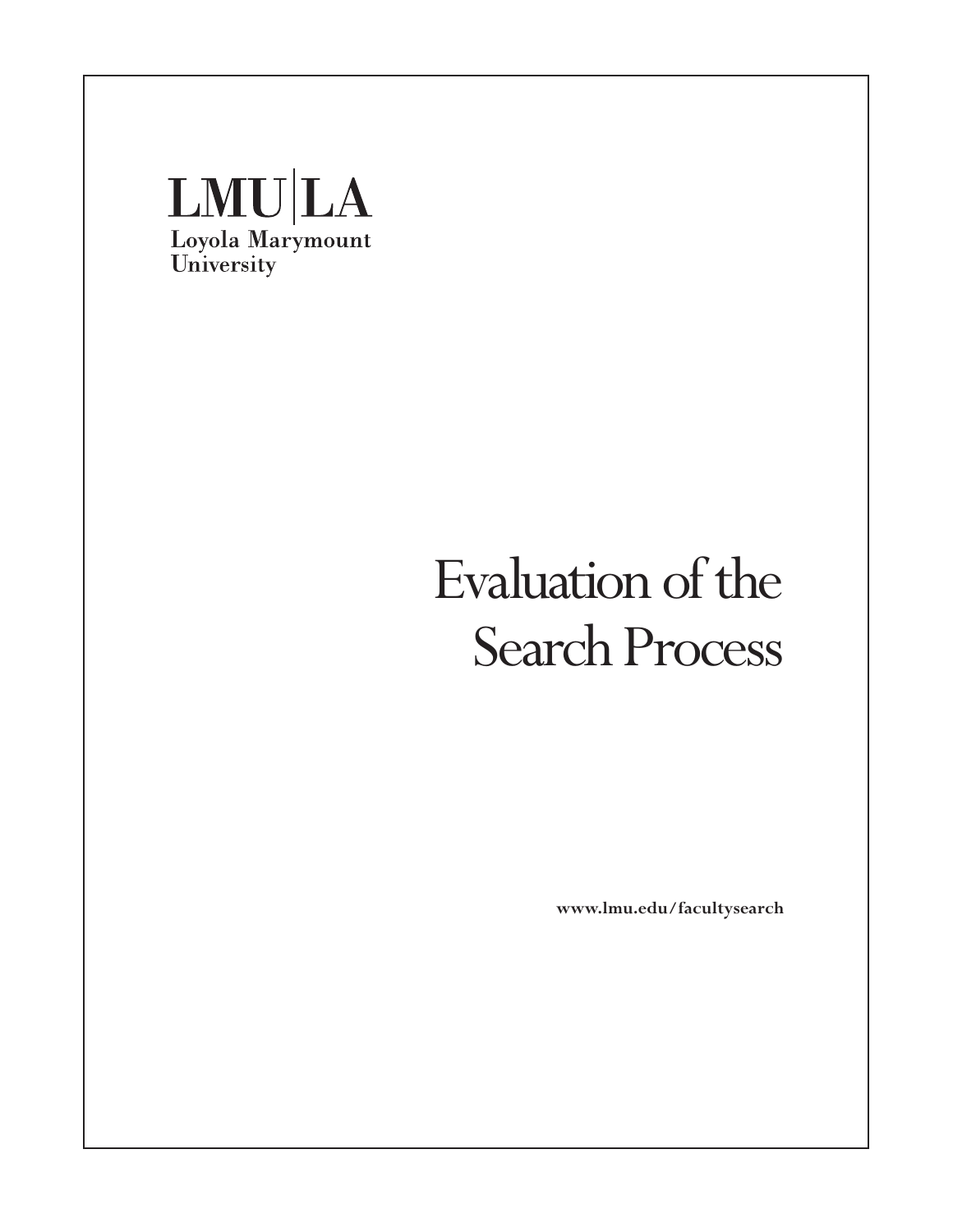

**www.lmu.edu/facultysearch**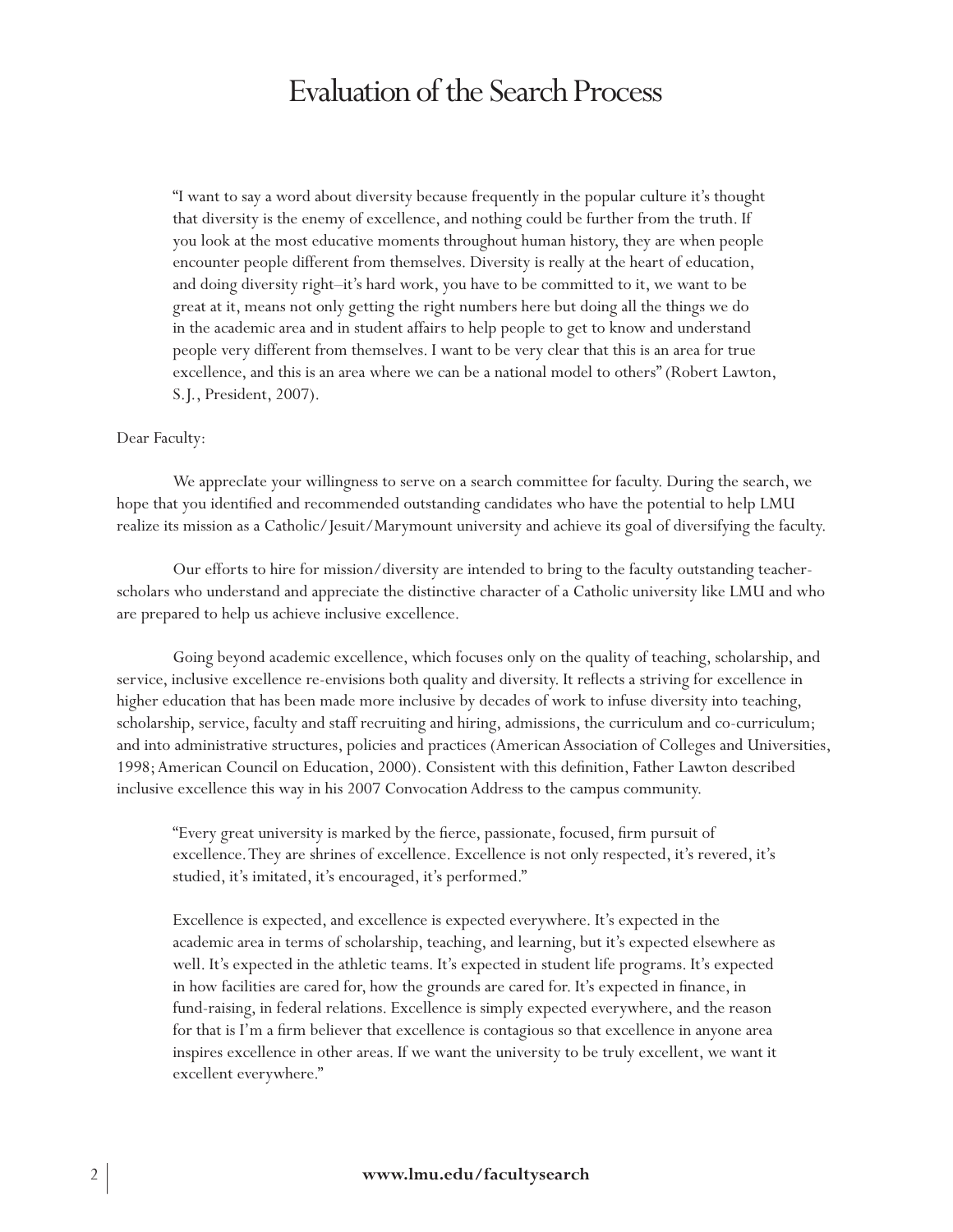"I want to say a word about diversity because frequently in the popular culture it's thought that diversity is the enemy of excellence, and nothing could be further from the truth. If you look at the most educative moments throughout human history, they are when people encounter people different from themselves. Diversity is really at the heart of education, and doing diversity right–it's hard work, you have to be committed to it, we want to be great at it, means not only getting the right numbers here but doing all the things we do in the academic area and in student affairs to help people to get to know and understand people very different from themselves. I want to be very clear that this is an area for true excellence, and this is an area where we can be a national model to others" (Robert Lawton, S.J., President, 2007).

#### Dear Faculty:

We apprecIate your willingness to serve on a search committee for faculty. During the search, we hope that you identified and recommended outstanding candidates who have the potential to help LMU realize its mission as a Catholic/Jesuit/Marymount university and achieve its goal of diversifying the faculty.

Our efforts to hire for mission/diversity are intended to bring to the faculty outstanding teacherscholars who understand and appreciate the distinctive character of a Catholic university like LMU and who are prepared to help us achieve inclusive excellence.

Going beyond academic excellence, which focuses only on the quality of teaching, scholarship, and service, inclusive excellence re-envisions both quality and diversity. It reflects a striving for excellence in higher education that has been made more inclusive by decades of work to infuse diversity into teaching, scholarship, service, faculty and staff recruiting and hiring, admissions, the curriculum and co-curriculum; and into administrative structures, policies and practices (American Association of Colleges and Universities, 1998; American Council on Education, 2000). Consistent with this definition, Father Lawton described inclusive excellence this way in his 2007 Convocation Address to the campus community.

"Every great university is marked by the fierce, passionate, focused, firm pursuit of excellence. They are shrines of excellence. Excellence is not only respected, it's revered, it's studied, it's imitated, it's encouraged, it's performed."

Excellence is expected, and excellence is expected everywhere. It's expected in the academic area in terms of scholarship, teaching, and learning, but it's expected elsewhere as well. It's expected in the athletic teams. It's expected in student life programs. It's expected in how facilities are cared for, how the grounds are cared for. It's expected in finance, in fund-raising, in federal relations. Excellence is simply expected everywhere, and the reason for that is I'm a firm believer that excellence is contagious so that excellence in anyone area inspires excellence in other areas. If we want the university to be truly excellent, we want it excellent everywhere."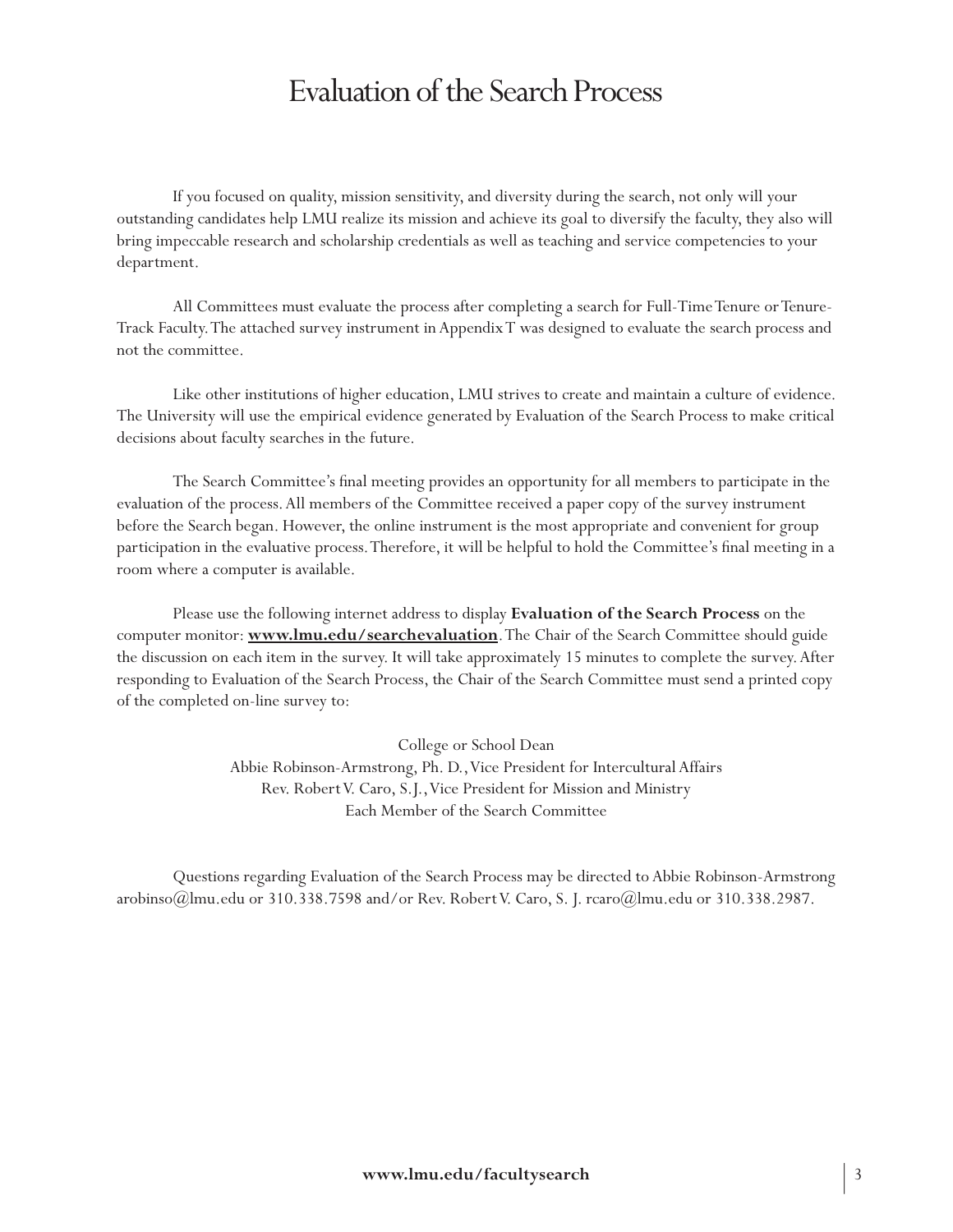If you focused on quality, mission sensitivity, and diversity during the search, not only will your outstanding candidates help LMU realize its mission and achieve its goal to diversify the faculty, they also will bring impeccable research and scholarship credentials as well as teaching and service competencies to your department.

All Committees must evaluate the process after completing a search for Full-Time Tenure or Tenure-Track Faculty. The attached survey instrument in Appendix T was designed to evaluate the search process and not the committee.

Like other institutions of higher education, LMU strives to create and maintain a culture of evidence. The University will use the empirical evidence generated by Evaluation of the Search Process to make critical decisions about faculty searches in the future.

The Search Committee's final meeting provides an opportunity for all members to participate in the evaluation of the process. All members of the Committee received a paper copy of the survey instrument before the Search began. However, the online instrument is the most appropriate and convenient for group participation in the evaluative process. Therefore, it will be helpful to hold the Committee's final meeting in a room where a computer is available.

Please use the following internet address to display **Evaluation of the Search Process** on the computer monitor: **www.lmu.edu/searchevaluation**. The Chair of the Search Committee should guide the discussion on each item in the survey. It will take approximately 15 minutes to complete the survey. After responding to Evaluation of the Search Process, the Chair of the Search Committee must send a printed copy of the completed on-line survey to:

> College or School Dean Abbie Robinson-Armstrong, Ph. D., Vice President for Intercultural Affairs Rev. Robert V. Caro, S.J., Vice President for Mission and Ministry Each Member of the Search Committee

Questions regarding Evaluation of the Search Process may be directed to Abbie Robinson-Armstrong arobinso@lmu.edu or 310.338.7598 and/or Rev. Robert V. Caro, S. J. rcaro@lmu.edu or 310.338.2987.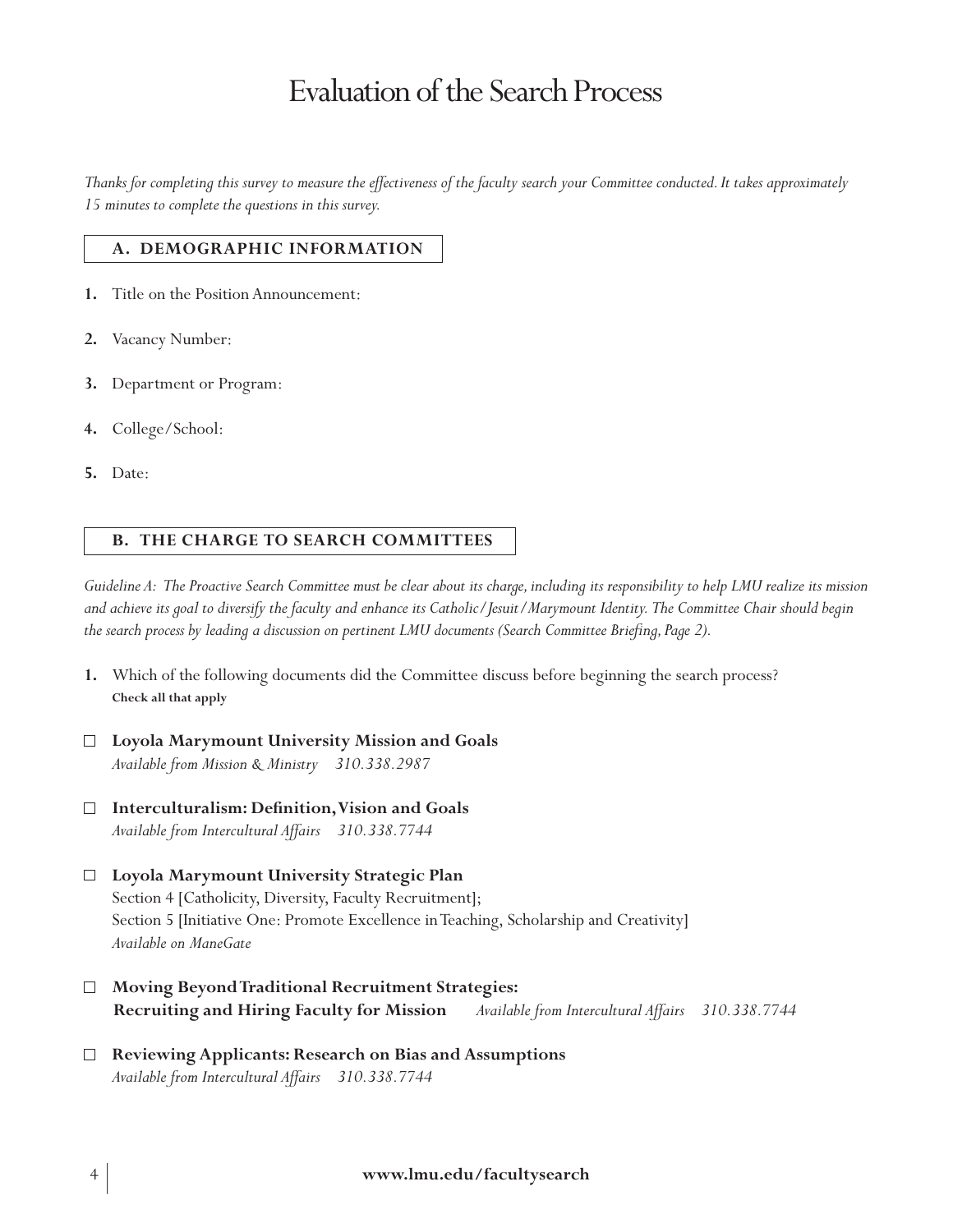*Thanks for completing this survey to measure the effectiveness of the faculty search your Committee conducted. It takes approximately 15 minutes to complete the questions in this survey.*

#### **A. DEMOGRAPHIC INFORMATION**

- **1.** Title on the Position Announcement:
- **2.** Vacancy Number:
- **3.** Department or Program:
- **4.** College/School:
- **5.** Date:

#### **B. THE CHARGE TO SEARCH COMMITTEES**

*Guideline A: The Proactive Search Committee must be clear about its charge, including its responsibility to help LMU realize its mission and achieve its goal to diversify the faculty and enhance its Catholic/Jesuit/Marymount Identity. The Committee Chair should begin the search process by leading a discussion on pertinent LMU documents (Search Committee Briefing, Page 2).*

- **1.** Which of the following documents did the Committee discuss before beginning the search process? **Check all that apply**
- **Loyola Marymount University Mission and Goals** *Available from Mission & Ministry 310.338.2987*
- **Interculturalism: Definition, Vision and Goals**  $\Box$ *Available from Intercultural Affairs 310.338.7744*
- **Loyola Marymount University Strategic Plan** Section 4 [Catholicity, Diversity, Faculty Recruitment]; Section 5 [Initiative One: Promote Excellence in Teaching, Scholarship and Creativity] *Available on ManeGate*
- **Moving Beyond Traditional Recruitment Strategies: Recruiting and Hiring Faculty for Mission** *Available from Intercultural Affairs 310.338.7744*
- $\Box$ **Reviewing Applicants: Research on Bias and Assumptions** *Available from Intercultural Affairs 310.338.7744*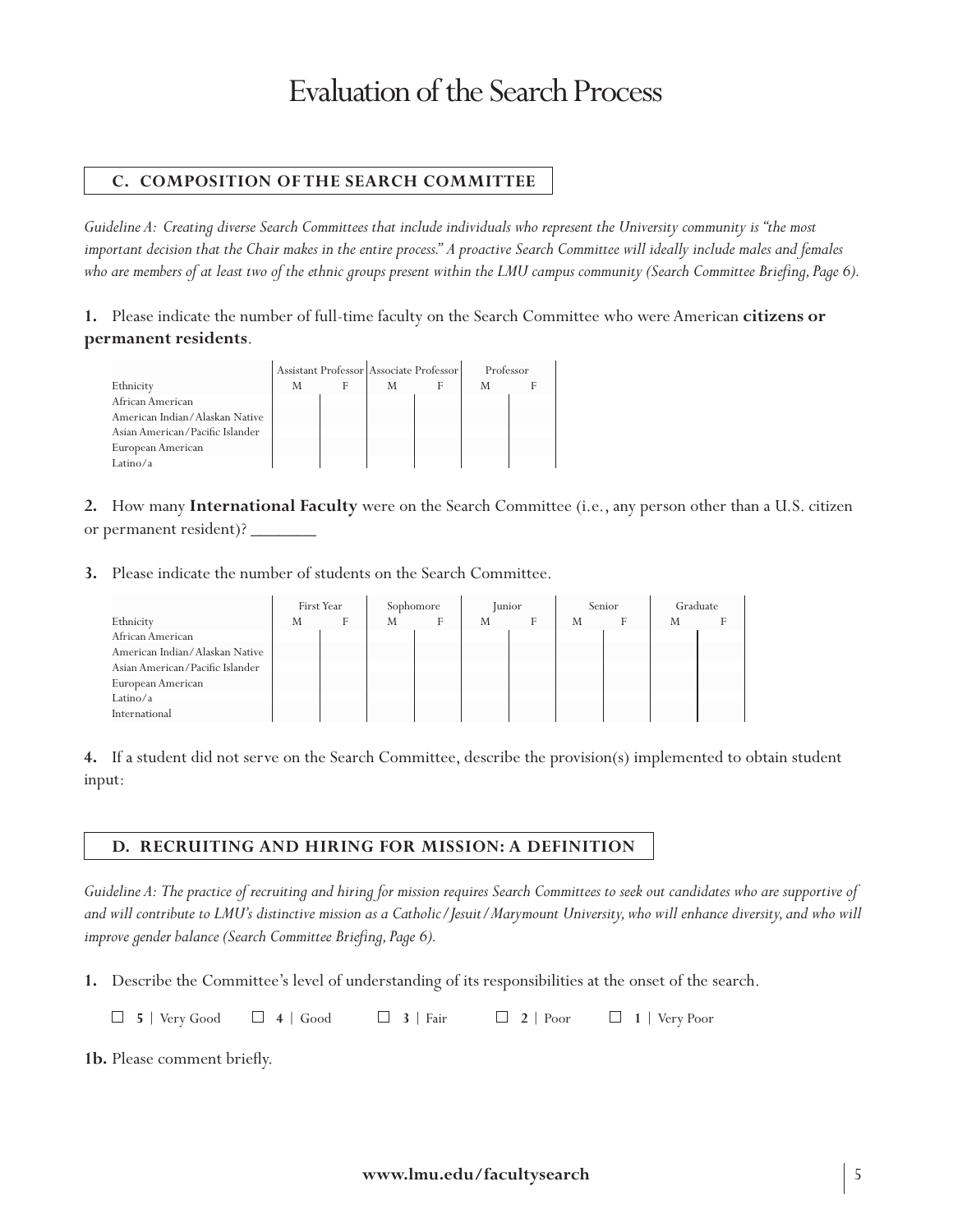## **C. COMPOSITION OF THE SEARCH COMMITTEE**

*Guideline A: Creating diverse Search Committees that include individuals who represent the University community is "the most*  important decision that the Chair makes in the entire process." A proactive Search Committee will ideally include males and females *who are members of at least two of the ethnic groups present within the LMU campus community (Search Committee Briefing, Page 6).*

**1.** Please indicate the number of full-time faculty on the Search Committee who were American **citizens or permanent residents**.

|                                 |   | Assistant Professor Associate Professor | Professor |  |
|---------------------------------|---|-----------------------------------------|-----------|--|
| Ethnicity                       | M | M                                       | M         |  |
| African American                |   |                                         |           |  |
| American Indian/Alaskan Native  |   |                                         |           |  |
| Asian American/Pacific Islander |   |                                         |           |  |
| European American               |   |                                         |           |  |
| Latino/a                        |   |                                         |           |  |

**2.** How many **International Faculty** were on the Search Committee (i.e., any person other than a U.S. citizen or permanent resident)?

**3.** Please indicate the number of students on the Search Committee.

|                                 |   | First Year | Sophomore |   |   | <b>Junior</b> |   | Senior | Graduate |  |
|---------------------------------|---|------------|-----------|---|---|---------------|---|--------|----------|--|
| Ethnicity                       | M | F          | M         | F | M | F             | M |        | M        |  |
| African American                |   |            |           |   |   |               |   |        |          |  |
| American Indian/Alaskan Native  |   |            |           |   |   |               |   |        |          |  |
| Asian American/Pacific Islander |   |            |           |   |   |               |   |        |          |  |
| European American               |   |            |           |   |   |               |   |        |          |  |
| Latino/ $a$                     |   |            |           |   |   |               |   |        |          |  |
| International                   |   |            |           |   |   |               |   |        |          |  |

**4.** If a student did not serve on the Search Committee, describe the provision(s) implemented to obtain student input:

#### **D. Recruiting and Hiring for Mission: A Definition**

*Guideline A: The practice of recruiting and hiring for mission requires Search Committees to seek out candidates who are supportive of and will contribute to LMU's distinctive mission as a Catholic/Jesuit/Marymount University, who will enhance diversity, and who will improve gender balance (Search Committee Briefing, Page 6).*

**1.** Describe the Committee's level of understanding of its responsibilities at the onset of the search.

**5** | Very Good **4** | Good **3** | Fair **2** | Poor **1** | Very Poor

**1b.** Please comment briefly.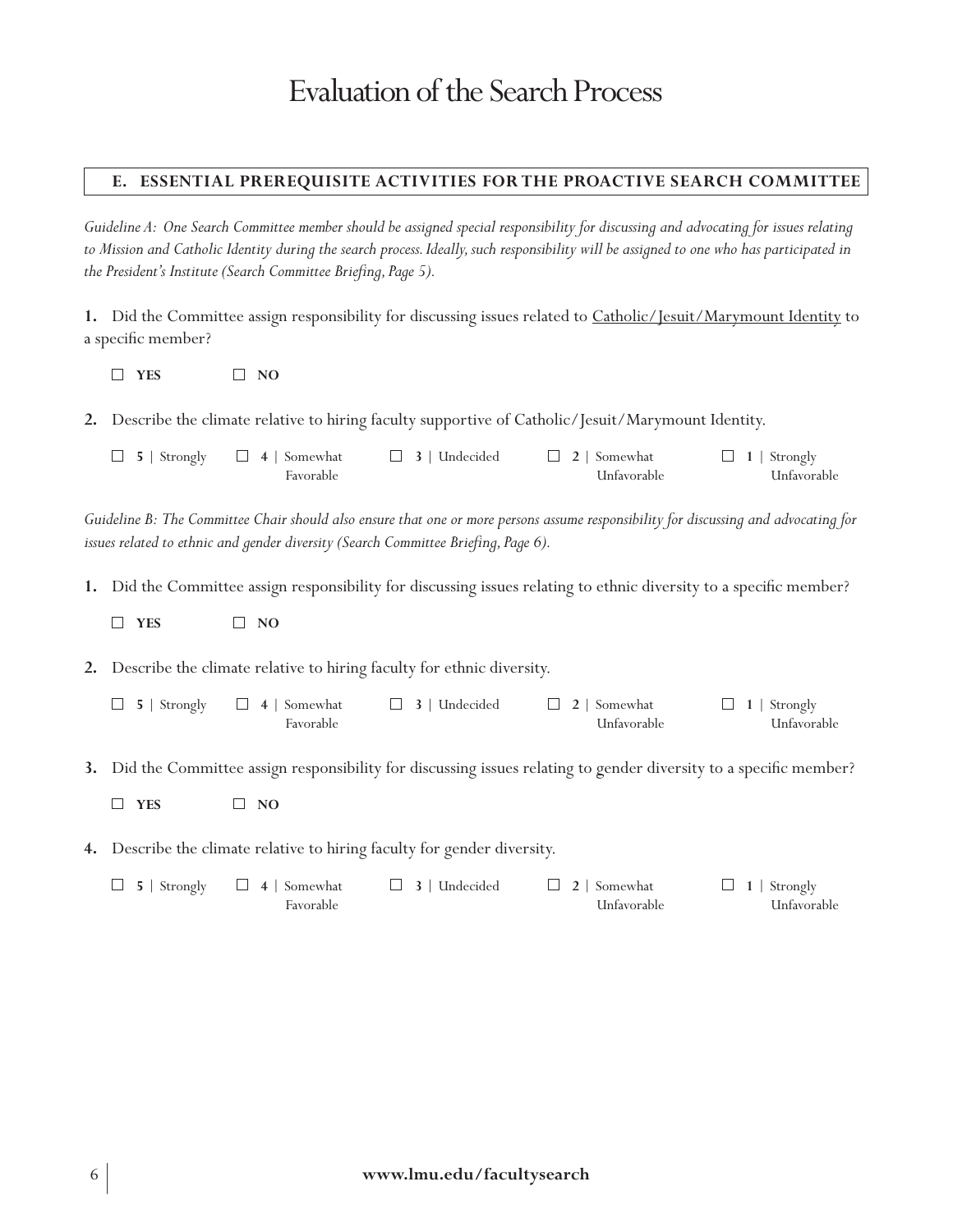### **E. Essential Prerequisite Activities for the Proactive Search Committee**

*Guideline A: One Search Committee member should be assigned special responsibility for discussing and advocating for issues relating to Mission and Catholic Identity during the search process. Ideally, such responsibility will be assigned to one who has participated in the President's Institute (Search Committee Briefing, Page 5).*

**1.** Did the Committee assign responsibility for discussing issues related to Catholic/Jesuit/Marymount Identity to a specific member?

**YES NO**

**2.** Describe the climate relative to hiring faculty supportive of Catholic/Jesuit/Marymount Identity.

| $\Box$ 5   Strongly $\Box$ 4   Somewhat | $\Box$ 3   Undecided | $\Box$ 2   Somewhat | $\Box$ 1   Strongly |
|-----------------------------------------|----------------------|---------------------|---------------------|
| Favorable                               |                      | Unfavorable         | Unfavorable         |

*Guideline B: The Committee Chair should also ensure that one or more persons assume responsibility for discussing and advocating for issues related to ethnic and gender diversity (Search Committee Briefing, Page 6).*

**1.** Did the Committee assign responsibility for discussing issues relating to ethnic diversity to a specific member?

**YES NO**

**2.** Describe the climate relative to hiring faculty for ethnic diversity.

- **5** | Strongly **4** | Somewhat **3** | Undecided **2** | Somewhat **1** | Strongly Favorable Unfavorable Unfavorable
- **3.** Did the Committee assign responsibility for discussing issues relating to gender diversity to a specific member?
	- **YES NO**
- **4.** Describe the climate relative to hiring faculty for gender diversity.

| $\Box$ 5   Strongly $\Box$ 4   Somewhat | $\Box$ 3   Undecided | $\Box$ 2   Somewhat | $\Box$ 1   Strongly |
|-----------------------------------------|----------------------|---------------------|---------------------|
| Favorable                               |                      | Unfavorable         | Unfavorable         |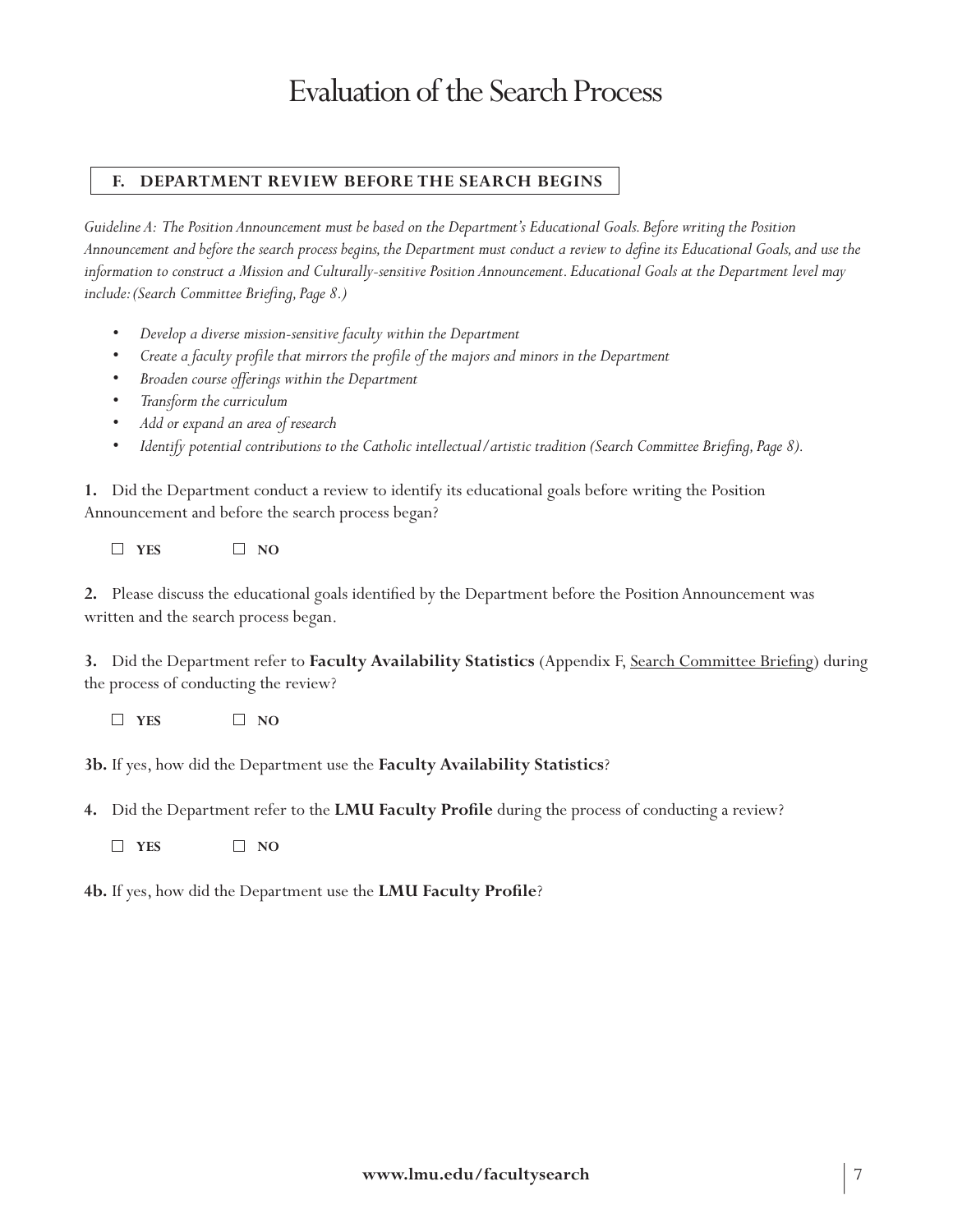## **F. Department REVIEW Before the Search Begins**

*Guideline A: The Position Announcement must be based on the Department's Educational Goals. Before writing the Position Announcement and before the search process begins, the Department must conduct a review to define its Educational Goals, and use the information to construct a Mission and Culturally-sensitive Position Announcement. Educational Goals at the Department level may include: (Search Committee Briefing, Page 8.)*

- *• Develop a diverse mission-sensitive faculty within the Department*
- *• Create a faculty profile that mirrors the profile of the majors and minors in the Department*
- *• Broaden course offerings within the Department*
- *• Transform the curriculum*
- *• Add or expand an area of research*
- *Identify potential contributions to the Catholic intellectual/artistic tradition (Search Committee Briefing, Page 8).*

**1.** Did the Department conduct a review to identify its educational goals before writing the Position Announcement and before the search process began?

 $\Box$  **YES**  $\Box$  **NO** 

**2.** Please discuss the educational goals identified by the Department before the Position Announcement was written and the search process began.

**3.** Did the Department refer to **Faculty Availability Statistics** (Appendix F, Search Committee Briefing) during the process of conducting the review?

**YES NO**

**3b.** If yes, how did the Department use the **Faculty Availability Statistics**?

**4.** Did the Department refer to the **LMU Faculty Profile** during the process of conducting a review?

 $\Box$  YES  $\Box$  NO

**4b.** If yes, how did the Department use the **LMU Faculty Profile**?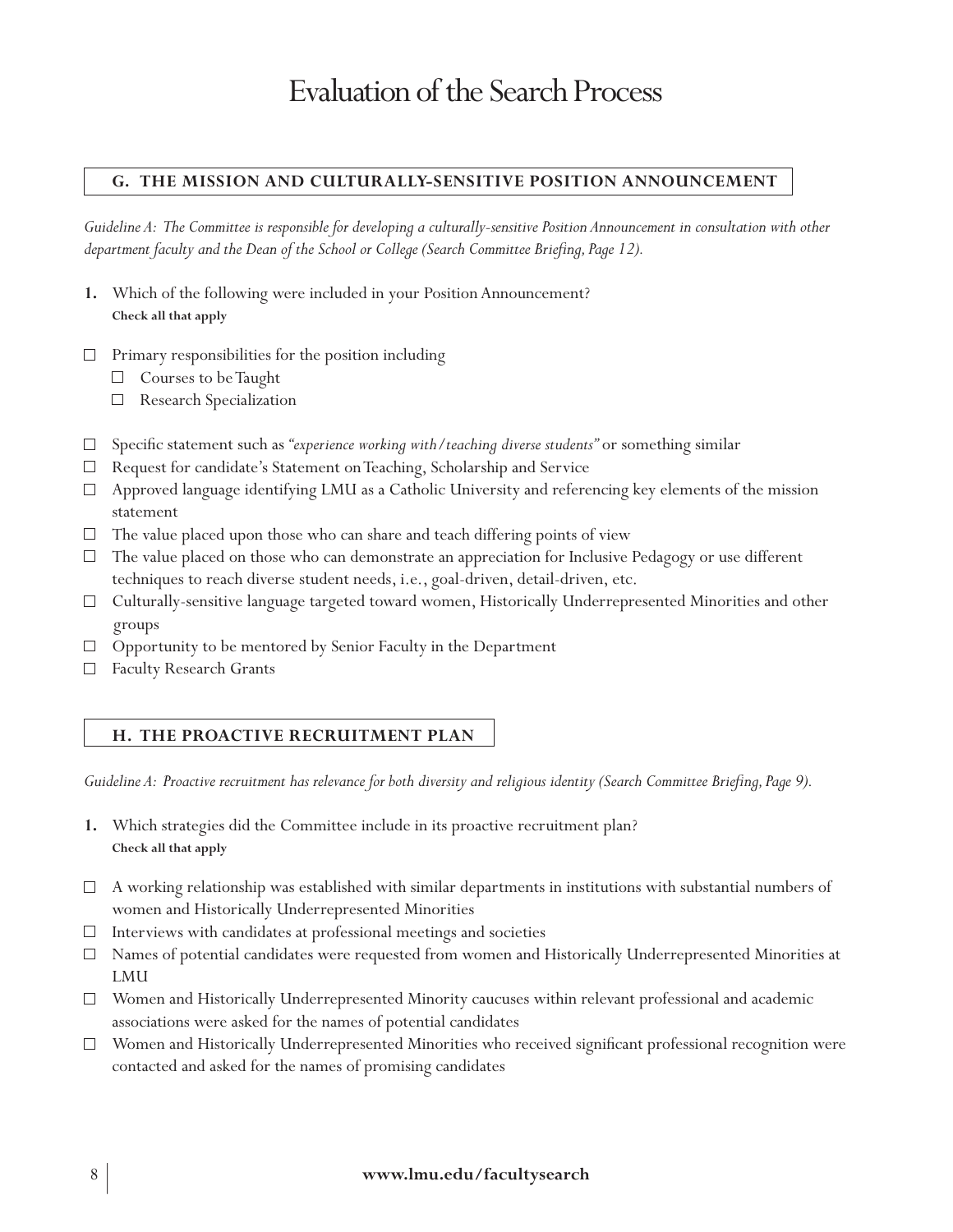### **G. The MISSION AND CULTURALLY-Sensitive Position ANNOUNCEMENT**

*Guideline A: The Committee is responsible for developing a culturally-sensitive Position Announcement in consultation with other department faculty and the Dean of the School or College (Search Committee Briefing, Page 12).*

- **1.** Which of the following were included in your Position Announcement? **Check all that apply**
- $\Box$  Primary responsibilities for the position including
	- $\Box$  Courses to be Taught
	- Research Specialization
- Specific statement such as *"experience working with/teaching diverse students"* or something similar
- $\Box$  Request for candidate's Statement on Teaching, Scholarship and Service
- $\Box$  Approved language identifying LMU as a Catholic University and referencing key elements of the mission statement
- $\Box$  The value placed upon those who can share and teach differing points of view
- $\Box$  The value placed on those who can demonstrate an appreciation for Inclusive Pedagogy or use different techniques to reach diverse student needs, i.e., goal-driven, detail-driven, etc.
- $\Box$  Culturally-sensitive language targeted toward women, Historically Underrepresented Minorities and other groups
- $\Box$  Opportunity to be mentored by Senior Faculty in the Department
- □ Faculty Research Grants

#### **H. The Proactive Recruitment Plan**

*Guideline A: Proactive recruitment has relevance for both diversity and religious identity (Search Committee Briefing, Page 9).* 

- **1.** Which strategies did the Committee include in its proactive recruitment plan? **Check all that apply**
- $\Box$  A working relationship was established with similar departments in institutions with substantial numbers of women and Historically Underrepresented Minorities
- $\Box$  Interviews with candidates at professional meetings and societies
- Names of potential candidates were requested from women and Historically Underrepresented Minorities at LMU
- Women and Historically Underrepresented Minority caucuses within relevant professional and academic associations were asked for the names of potential candidates
- Women and Historically Underrepresented Minorities who received significant professional recognition were contacted and asked for the names of promising candidates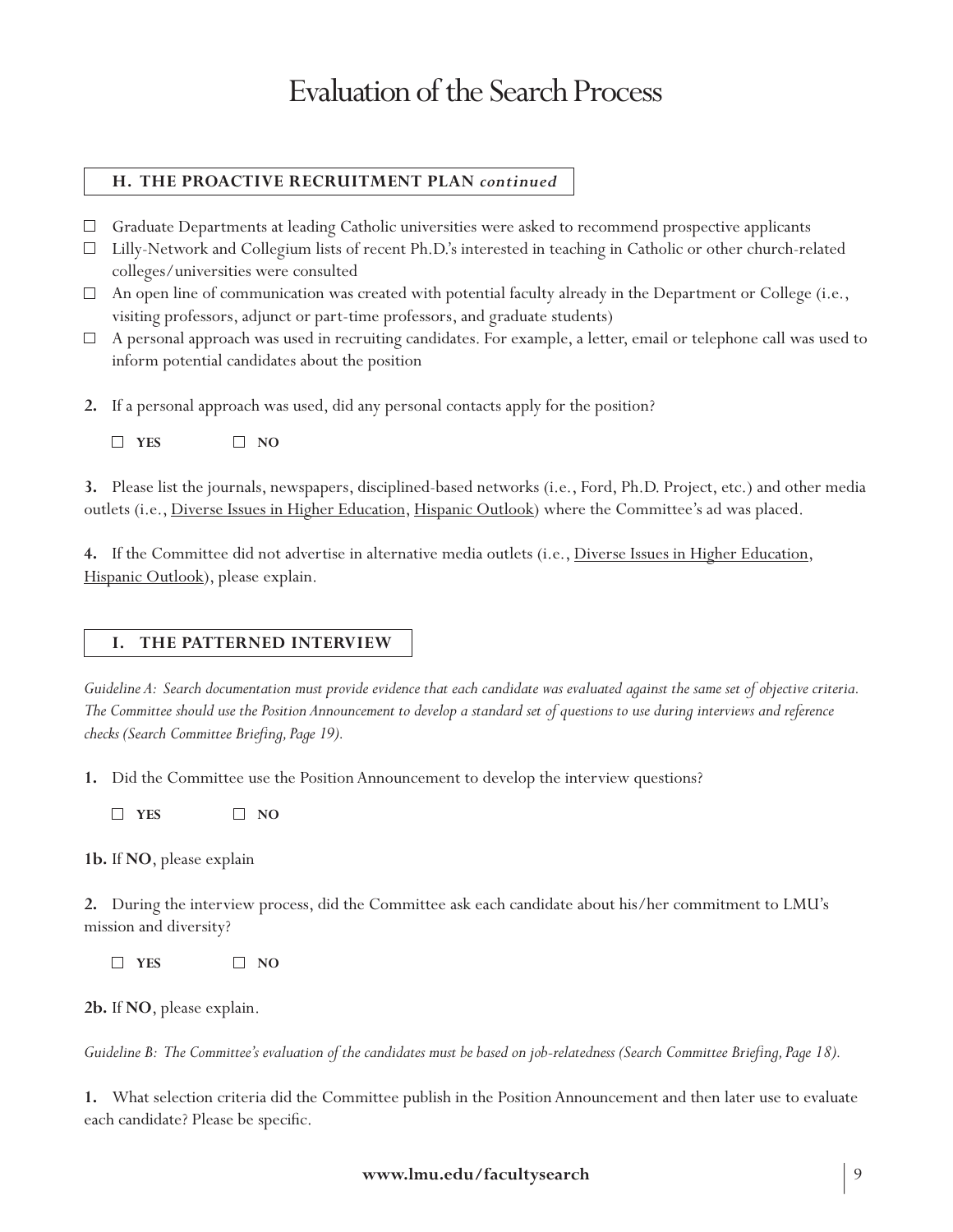# **H. The Proactive Recruitment Plan** *continued*

- Graduate Departments at leading Catholic universities were asked to recommend prospective applicants
- Lilly-Network and Collegium lists of recent Ph.D.'s interested in teaching in Catholic or other church-related colleges/universities were consulted
- $\Box$  An open line of communication was created with potential faculty already in the Department or College (i.e., visiting professors, adjunct or part-time professors, and graduate students)
- $\Box$  A personal approach was used in recruiting candidates. For example, a letter, email or telephone call was used to inform potential candidates about the position
- **2.** If a personal approach was used, did any personal contacts apply for the position?
	- **YES NO**

**3.** Please list the journals, newspapers, disciplined-based networks (i.e., Ford, Ph.D. Project, etc.) and other media outlets (i.e., Diverse Issues in Higher Education, Hispanic Outlook) where the Committee's ad was placed.

**4.** If the Committee did not advertise in alternative media outlets (i.e., Diverse Issues in Higher Education, Hispanic Outlook), please explain.

### **I. The Patterned Interview**

*Guideline A: Search documentation must provide evidence that each candidate was evaluated against the same set of objective criteria. The Committee should use the Position Announcement to develop a standard set of questions to use during interviews and reference checks (Search Committee Briefing, Page 19).*

**1.** Did the Committee use the Position Announcement to develop the interview questions?

**YES NO**

**1b.** If **NO**, please explain

**2.** During the interview process, did the Committee ask each candidate about his/her commitment to LMU's mission and diversity?

**YES NO**

**2b.** If **NO**, please explain.

*Guideline B: The Committee's evaluation of the candidates must be based on job-relatedness (Search Committee Briefing, Page 18).*

**1.** What selection criteria did the Committee publish in the Position Announcement and then later use to evaluate each candidate? Please be specific.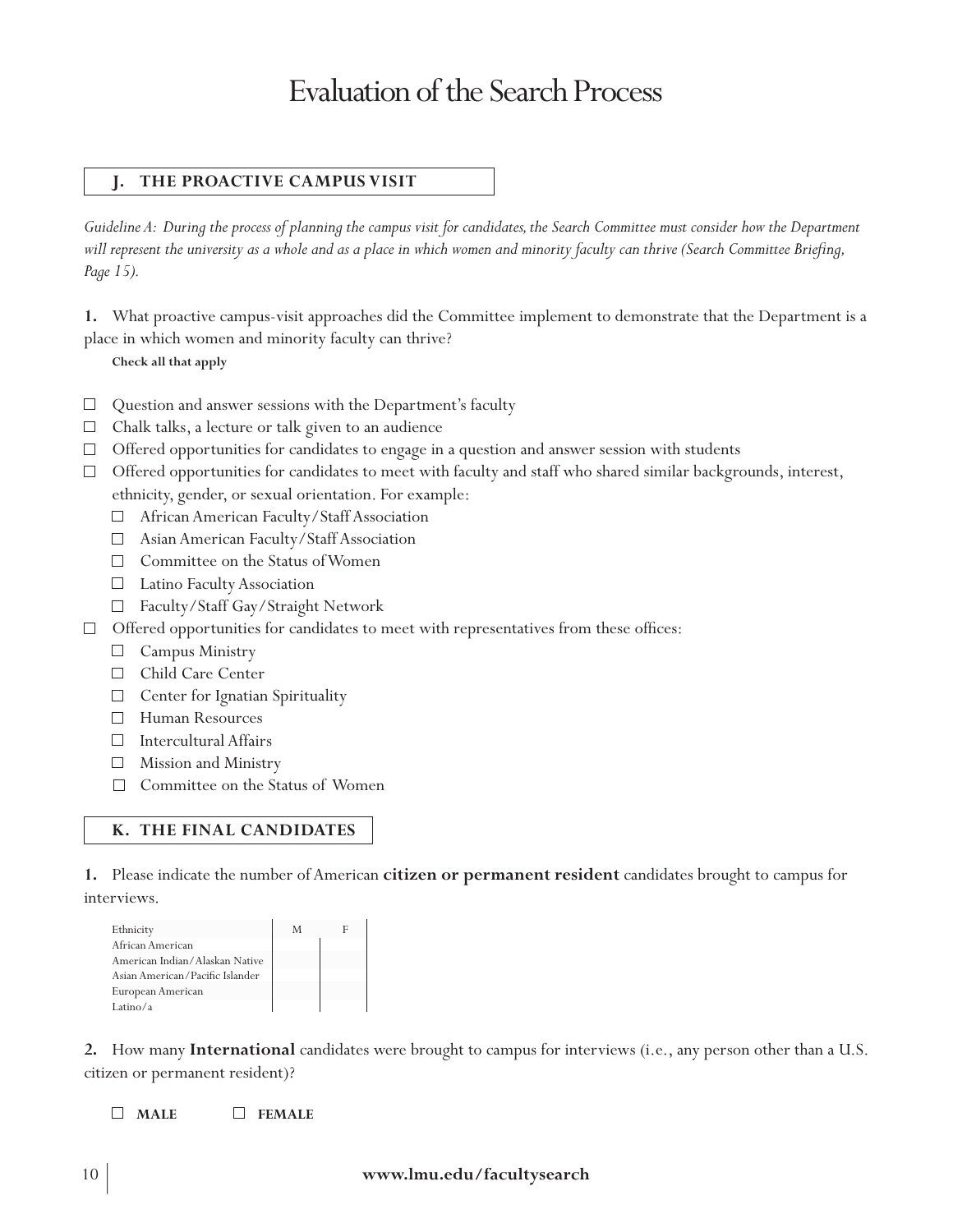### **J. The Proactive Campus Visit**

*Guideline A: During the process of planning the campus visit for candidates, the Search Committee must consider how the Department will represent the university as a whole and as a place in which women and minority faculty can thrive (Search Committee Briefing, Page 15).*

**1.** What proactive campus-visit approaches did the Committee implement to demonstrate that the Department is a place in which women and minority faculty can thrive?

**Check all that apply**

- $\Box$  Question and answer sessions with the Department's faculty
- $\Box$  Chalk talks, a lecture or talk given to an audience
- $\Box$  Offered opportunities for candidates to engage in a question and answer session with students
- $\Box$  Offered opportunities for candidates to meet with faculty and staff who shared similar backgrounds, interest, ethnicity, gender, or sexual orientation. For example:
	- □ African American Faculty/Staff Association
	- Asian American Faculty/Staff Association
	- $\Box$  Committee on the Status of Women
	- Latino Faculty Association
	- Faculty/Staff Gay/Straight Network
- $\Box$  Offered opportunities for candidates to meet with representatives from these offices:
	- **Campus Ministry**
	- □ Child Care Center
	- $\Box$  Center for Ignatian Spirituality
	- Human Resources
	- Intercultural Affairs
	- Mission and Ministry
	- Committee on the Status of Women

### **k. tHE FINAL CANDIDATES**

**1.** Please indicate the number of American **citizen or permanent resident** candidates brought to campus for interviews.

| Ethnicity                       | M |  |
|---------------------------------|---|--|
| African American                |   |  |
| American Indian/Alaskan Native  |   |  |
| Asian American/Pacific Islander |   |  |
| European American               |   |  |
| Latino/a                        |   |  |

**2.** How many **International** candidates were brought to campus for interviews (i.e., any person other than a U.S. citizen or permanent resident)?

**MALE FEMALE**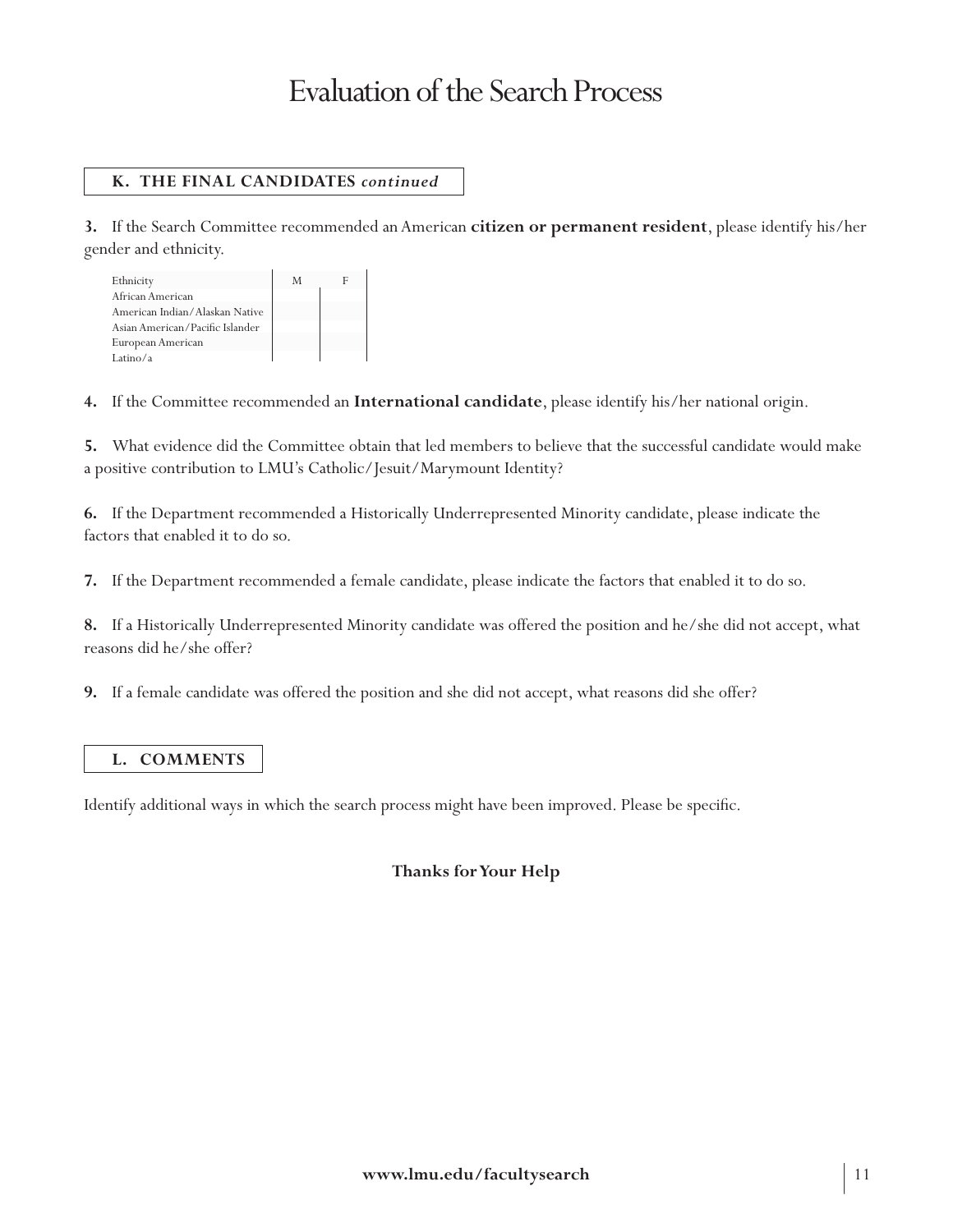# **k. tHE FINAL CANDIDATES** *continued*

**3.** If the Search Committee recommended an American **citizen or permanent resident**, please identify his/her gender and ethnicity.

| Ethnicity                       | M |  |
|---------------------------------|---|--|
| African American                |   |  |
| American Indian/Alaskan Native  |   |  |
| Asian American/Pacific Islander |   |  |
| European American               |   |  |
| Latino/a                        |   |  |

**4.** If the Committee recommended an **International candidate**, please identify his/her national origin.

**5.** What evidence did the Committee obtain that led members to believe that the successful candidate would make a positive contribution to LMU's Catholic/Jesuit/Marymount Identity?

**6.** If the Department recommended a Historically Underrepresented Minority candidate, please indicate the factors that enabled it to do so.

**7.** If the Department recommended a female candidate, please indicate the factors that enabled it to do so.

**8.** If a Historically Underrepresented Minority candidate was offered the position and he/she did not accept, what reasons did he/she offer?

**9.** If a female candidate was offered the position and she did not accept, what reasons did she offer?

#### **L. COMMENTS**

Identify additional ways in which the search process might have been improved. Please be specific.

### **Thanks for Your Help**